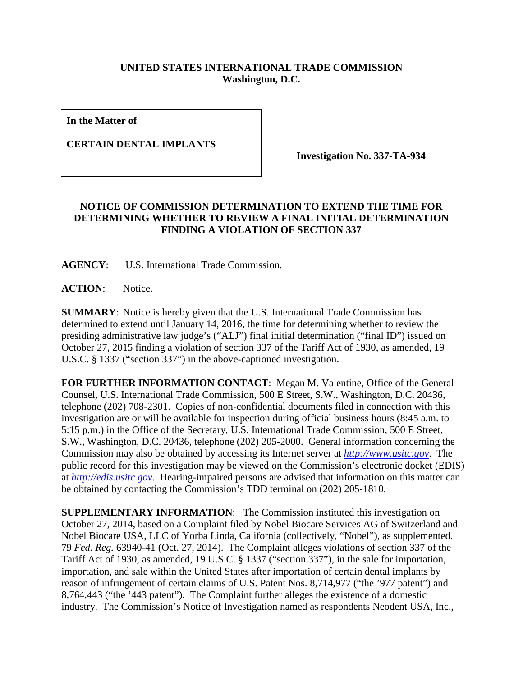## **UNITED STATES INTERNATIONAL TRADE COMMISSION Washington, D.C.**

**In the Matter of**

**CERTAIN DENTAL IMPLANTS**

**Investigation No. 337-TA-934**

## **NOTICE OF COMMISSION DETERMINATION TO EXTEND THE TIME FOR DETERMINING WHETHER TO REVIEW A FINAL INITIAL DETERMINATION FINDING A VIOLATION OF SECTION 337**

**AGENCY**: U.S. International Trade Commission.

**ACTION**: Notice.

**SUMMARY**: Notice is hereby given that the U.S. International Trade Commission has determined to extend until January 14, 2016, the time for determining whether to review the presiding administrative law judge's ("ALJ") final initial determination ("final ID") issued on October 27, 2015 finding a violation of section 337 of the Tariff Act of 1930, as amended, 19 U.S.C. § 1337 ("section 337") in the above-captioned investigation.

**FOR FURTHER INFORMATION CONTACT**: Megan M. Valentine, Office of the General Counsel, U.S. International Trade Commission, 500 E Street, S.W., Washington, D.C. 20436, telephone (202) 708-2301. Copies of non-confidential documents filed in connection with this investigation are or will be available for inspection during official business hours (8:45 a.m. to 5:15 p.m.) in the Office of the Secretary, U.S. International Trade Commission, 500 E Street, S.W., Washington, D.C. 20436, telephone (202) 205-2000. General information concerning the Commission may also be obtained by accessing its Internet server at *[http://www.usitc.gov](http://www.usitc.gov/)*. The public record for this investigation may be viewed on the Commission's electronic docket (EDIS) at *[http://edis.usitc.gov](http://edis.usitc.gov/)*. Hearing-impaired persons are advised that information on this matter can be obtained by contacting the Commission's TDD terminal on (202) 205-1810.

**SUPPLEMENTARY INFORMATION:** The Commission instituted this investigation on October 27, 2014, based on a Complaint filed by Nobel Biocare Services AG of Switzerland and Nobel Biocare USA, LLC of Yorba Linda, California (collectively, "Nobel"), as supplemented. 79 *Fed. Reg.* 63940-41 (Oct. 27, 2014). The Complaint alleges violations of section 337 of the Tariff Act of 1930, as amended, 19 U.S.C. § 1337 ("section 337"), in the sale for importation, importation, and sale within the United States after importation of certain dental implants by reason of infringement of certain claims of U.S. Patent Nos. 8,714,977 ("the '977 patent") and 8,764,443 ("the '443 patent"). The Complaint further alleges the existence of a domestic industry. The Commission's Notice of Investigation named as respondents Neodent USA, Inc.,